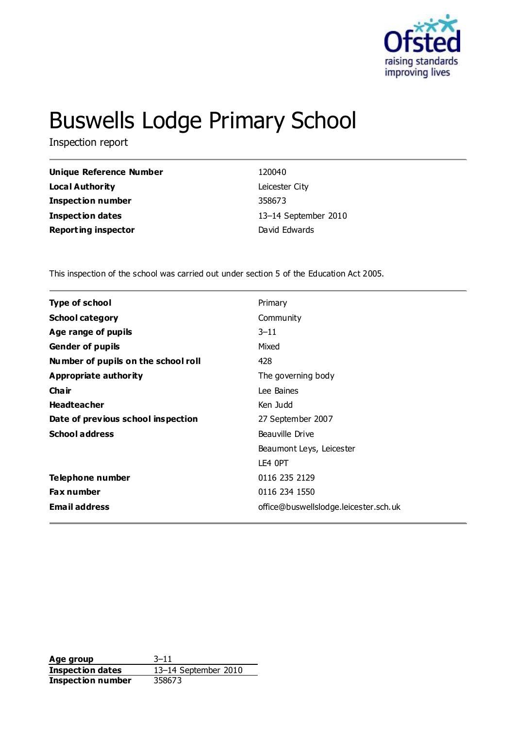

# Buswells Lodge Primary School

Inspection report

| Unique Reference Number    | 120040               |
|----------------------------|----------------------|
| Local Authority            | Leicester City       |
| <b>Inspection number</b>   | 358673               |
| <b>Inspection dates</b>    | 13-14 September 2010 |
| <b>Reporting inspector</b> | David Edwards        |
|                            |                      |

This inspection of the school was carried out under section 5 of the Education Act 2005.

| <b>Type of school</b>               | Primary                               |
|-------------------------------------|---------------------------------------|
| <b>School category</b>              | Community                             |
| Age range of pupils                 | $3 - 11$                              |
| <b>Gender of pupils</b>             | Mixed                                 |
| Number of pupils on the school roll | 428                                   |
| Appropriate authority               | The governing body                    |
| Cha ir                              | Lee Baines                            |
| <b>Headteacher</b>                  | Ken Judd                              |
| Date of previous school inspection  | 27 September 2007                     |
| <b>School address</b>               | Beauville Drive                       |
|                                     | Beaumont Leys, Leicester              |
|                                     | LE4 OPT                               |
| Telephone number                    | 0116 235 2129                         |
| <b>Fax number</b>                   | 0116 234 1550                         |
| <b>Email address</b>                | office@buswellslodge.leicester.sch.uk |
|                                     |                                       |

**Age group** 3–11 **Inspection dates** 13–14 September 2010 **Inspection number** 358673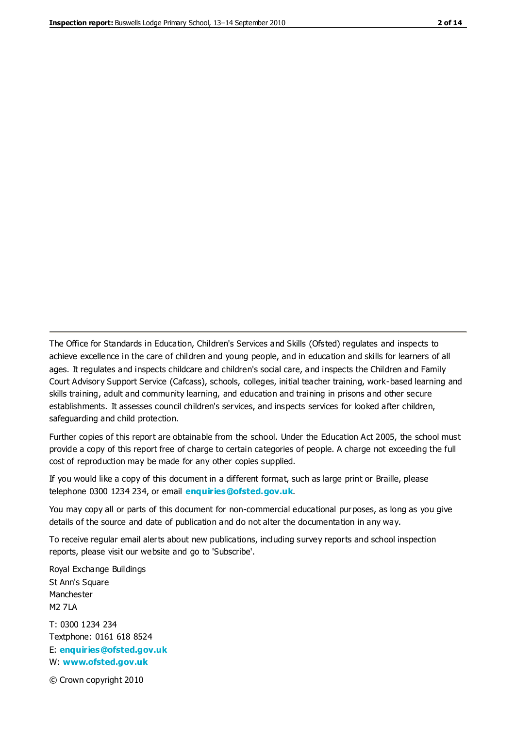The Office for Standards in Education, Children's Services and Skills (Ofsted) regulates and inspects to achieve excellence in the care of children and young people, and in education and skills for learners of all ages. It regulates and inspects childcare and children's social care, and inspects the Children and Family Court Advisory Support Service (Cafcass), schools, colleges, initial teacher training, work-based learning and skills training, adult and community learning, and education and training in prisons and other secure establishments. It assesses council children's services, and inspects services for looked after children, safeguarding and child protection.

Further copies of this report are obtainable from the school. Under the Education Act 2005, the school must provide a copy of this report free of charge to certain categories of people. A charge not exceeding the full cost of reproduction may be made for any other copies supplied.

If you would like a copy of this document in a different format, such as large print or Braille, please telephone 0300 1234 234, or email **[enquiries@ofsted.gov.uk](mailto:enquiries@ofsted.gov.uk)**.

You may copy all or parts of this document for non-commercial educational purposes, as long as you give details of the source and date of publication and do not alter the documentation in any way.

To receive regular email alerts about new publications, including survey reports and school inspection reports, please visit our website and go to 'Subscribe'.

Royal Exchange Buildings St Ann's Square Manchester M2 7LA T: 0300 1234 234 Textphone: 0161 618 8524 E: **[enquiries@ofsted.gov.uk](mailto:enquiries@ofsted.gov.uk)**

W: **[www.ofsted.gov.uk](http://www.ofsted.gov.uk/)**

© Crown copyright 2010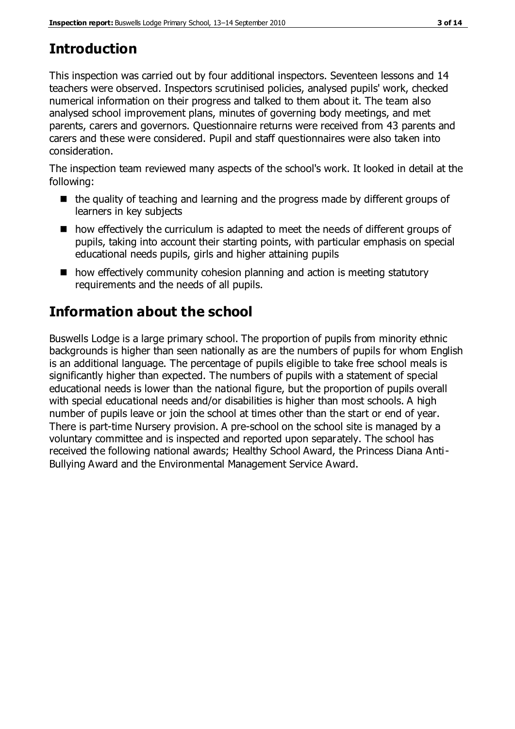# **Introduction**

This inspection was carried out by four additional inspectors. Seventeen lessons and 14 teachers were observed. Inspectors scrutinised policies, analysed pupils' work, checked numerical information on their progress and talked to them about it. The team also analysed school improvement plans, minutes of governing body meetings, and met parents, carers and governors. Questionnaire returns were received from 43 parents and carers and these were considered. Pupil and staff questionnaires were also taken into consideration.

The inspection team reviewed many aspects of the school's work. It looked in detail at the following:

- $\blacksquare$  the quality of teaching and learning and the progress made by different groups of learners in key subjects
- how effectively the curriculum is adapted to meet the needs of different groups of pupils, taking into account their starting points, with particular emphasis on special educational needs pupils, girls and higher attaining pupils
- how effectively community cohesion planning and action is meeting statutory requirements and the needs of all pupils.

# **Information about the school**

Buswells Lodge is a large primary school. The proportion of pupils from minority ethnic backgrounds is higher than seen nationally as are the numbers of pupils for whom English is an additional language. The percentage of pupils eligible to take free school meals is significantly higher than expected. The numbers of pupils with a statement of special educational needs is lower than the national figure, but the proportion of pupils overall with special educational needs and/or disabilities is higher than most schools. A high number of pupils leave or join the school at times other than the start or end of year. There is part-time Nursery provision. A pre-school on the school site is managed by a voluntary committee and is inspected and reported upon separately. The school has received the following national awards; Healthy School Award, the Princess Diana Anti-Bullying Award and the Environmental Management Service Award.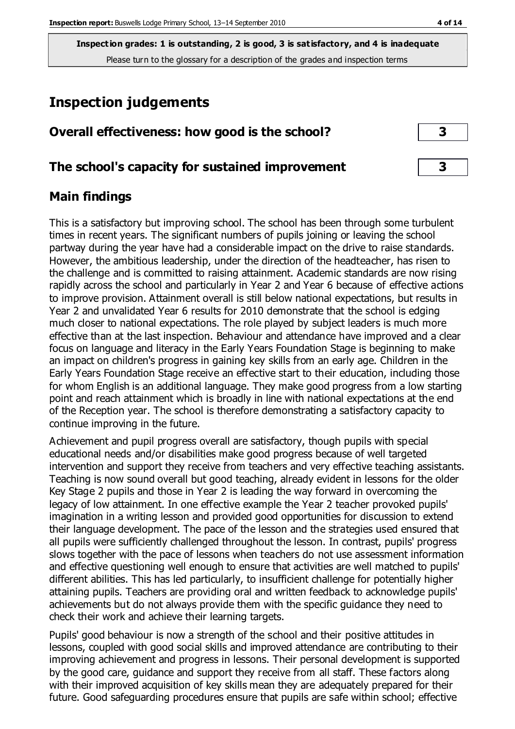# **Inspection judgements**

# **Overall effectiveness: how good is the school? 3**

## **The school's capacity for sustained improvement 3**

## **Main findings**

This is a satisfactory but improving school. The school has been through some turbulent times in recent years. The significant numbers of pupils joining or leaving the school partway during the year have had a considerable impact on the drive to raise standards. However, the ambitious leadership, under the direction of the headteacher, has risen to the challenge and is committed to raising attainment. Academic standards are now rising rapidly across the school and particularly in Year 2 and Year 6 because of effective actions to improve provision. Attainment overall is still below national expectations, but results in Year 2 and unvalidated Year 6 results for 2010 demonstrate that the school is edging much closer to national expectations. The role played by subject leaders is much more effective than at the last inspection. Behaviour and attendance have improved and a clear focus on language and literacy in the Early Years Foundation Stage is beginning to make an impact on children's progress in gaining key skills from an early age. Children in the Early Years Foundation Stage receive an effective start to their education, including those for whom English is an additional language. They make good progress from a low starting point and reach attainment which is broadly in line with national expectations at the end of the Reception year. The school is therefore demonstrating a satisfactory capacity to continue improving in the future.

Achievement and pupil progress overall are satisfactory, though pupils with special educational needs and/or disabilities make good progress because of well targeted intervention and support they receive from teachers and very effective teaching assistants. Teaching is now sound overall but good teaching, already evident in lessons for the older Key Stage 2 pupils and those in Year 2 is leading the way forward in overcoming the legacy of low attainment. In one effective example the Year 2 teacher provoked pupils' imagination in a writing lesson and provided good opportunities for discussion to extend their language development. The pace of the lesson and the strategies used ensured that all pupils were sufficiently challenged throughout the lesson. In contrast, pupils' progress slows together with the pace of lessons when teachers do not use assessment information and effective questioning well enough to ensure that activities are well matched to pupils' different abilities. This has led particularly, to insufficient challenge for potentially higher attaining pupils. Teachers are providing oral and written feedback to acknowledge pupils' achievements but do not always provide them with the specific guidance they need to check their work and achieve their learning targets.

Pupils' good behaviour is now a strength of the school and their positive attitudes in lessons, coupled with good social skills and improved attendance are contributing to their improving achievement and progress in lessons. Their personal development is supported by the good care, guidance and support they receive from all staff. These factors along with their improved acquisition of key skills mean they are adequately prepared for their future. Good safeguarding procedures ensure that pupils are safe within school; effective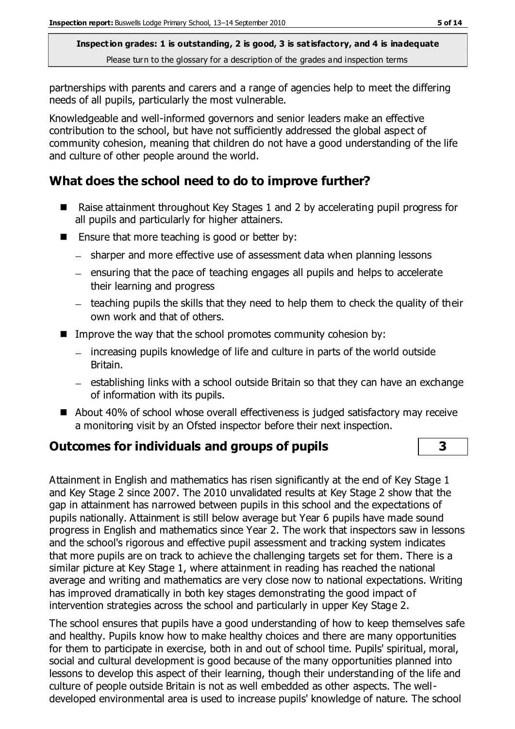partnerships with parents and carers and a range of agencies help to meet the differing needs of all pupils, particularly the most vulnerable.

Knowledgeable and well-informed governors and senior leaders make an effective contribution to the school, but have not sufficiently addressed the global aspect of community cohesion, meaning that children do not have a good understanding of the life and culture of other people around the world.

# **What does the school need to do to improve further?**

- Raise attainment throughout Key Stages 1 and 2 by accelerating pupil progress for all pupils and particularly for higher attainers.
- $\blacksquare$  Ensure that more teaching is good or better by:
	- sharper and more effective use of assessment data when planning lessons
	- $-$  ensuring that the pace of teaching engages all pupils and helps to accelerate their learning and progress
	- $-$  teaching pupils the skills that they need to help them to check the quality of their own work and that of others.
- Improve the way that the school promotes community cohesion by:
	- increasing pupils knowledge of life and culture in parts of the world outside Britain.
	- $-$  establishing links with a school outside Britain so that they can have an exchange of information with its pupils.
- About 40% of school whose overall effectiveness is judged satisfactory may receive a monitoring visit by an Ofsted inspector before their next inspection.

## **Outcomes for individuals and groups of pupils 3**

Attainment in English and mathematics has risen significantly at the end of Key Stage 1 and Key Stage 2 since 2007. The 2010 unvalidated results at Key Stage 2 show that the gap in attainment has narrowed between pupils in this school and the expectations of pupils nationally. Attainment is still below average but Year 6 pupils have made sound progress in English and mathematics since Year 2. The work that inspectors saw in lessons and the school's rigorous and effective pupil assessment and tracking system indicates that more pupils are on track to achieve the challenging targets set for them. There is a similar picture at Key Stage 1, where attainment in reading has reached the national average and writing and mathematics are very close now to national expectations. Writing has improved dramatically in both key stages demonstrating the good impact of intervention strategies across the school and particularly in upper Key Stage 2.

The school ensures that pupils have a good understanding of how to keep themselves safe and healthy. Pupils know how to make healthy choices and there are many opportunities for them to participate in exercise, both in and out of school time. Pupils' spiritual, moral, social and cultural development is good because of the many opportunities planned into lessons to develop this aspect of their learning, though their understanding of the life and culture of people outside Britain is not as well embedded as other aspects. The welldeveloped environmental area is used to increase pupils' knowledge of nature. The school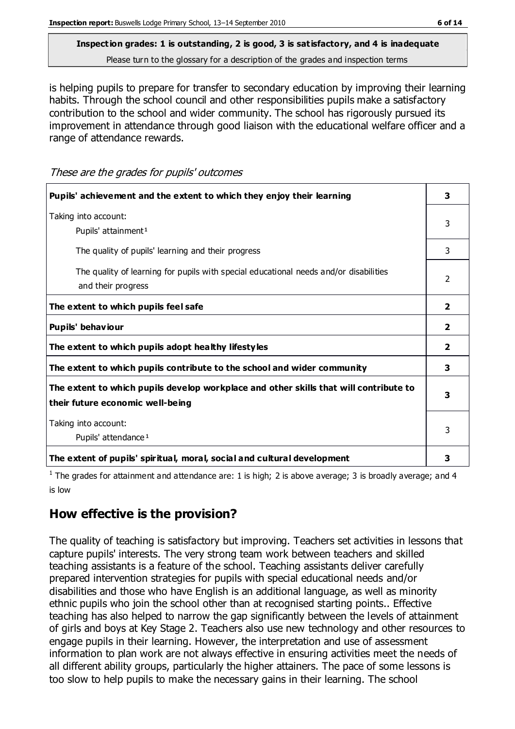# **Inspection grades: 1 is outstanding, 2 is good, 3 is satisfactory, and 4 is inadequate**

Please turn to the glossary for a description of the grades and inspection terms

is helping pupils to prepare for transfer to secondary education by improving their learning habits. Through the school council and other responsibilities pupils make a satisfactory contribution to the school and wider community. The school has rigorously pursued its improvement in attendance through good liaison with the educational welfare officer and a range of attendance rewards.

These are the grades for pupils' outcomes

| Pupils' achievement and the extent to which they enjoy their learning                                                     | 3              |
|---------------------------------------------------------------------------------------------------------------------------|----------------|
| Taking into account:<br>Pupils' attainment <sup>1</sup>                                                                   | 3              |
| The quality of pupils' learning and their progress                                                                        | 3              |
| The quality of learning for pupils with special educational needs and/or disabilities<br>and their progress               | $\mathcal{P}$  |
| The extent to which pupils feel safe                                                                                      | $\overline{2}$ |
| Pupils' behaviour                                                                                                         | $\overline{2}$ |
| The extent to which pupils adopt healthy lifestyles                                                                       | $\overline{2}$ |
| The extent to which pupils contribute to the school and wider community                                                   |                |
| The extent to which pupils develop workplace and other skills that will contribute to<br>their future economic well-being |                |
| Taking into account:<br>Pupils' attendance <sup>1</sup>                                                                   |                |
| The extent of pupils' spiritual, moral, social and cultural development                                                   | 3              |

<sup>1</sup> The grades for attainment and attendance are: 1 is high; 2 is above average; 3 is broadly average; and 4 is low

# **How effective is the provision?**

The quality of teaching is satisfactory but improving. Teachers set activities in lessons that capture pupils' interests. The very strong team work between teachers and skilled teaching assistants is a feature of the school. Teaching assistants deliver carefully prepared intervention strategies for pupils with special educational needs and/or disabilities and those who have English is an additional language, as well as minority ethnic pupils who join the school other than at recognised starting points.. Effective teaching has also helped to narrow the gap significantly between the levels of attainment of girls and boys at Key Stage 2. Teachers also use new technology and other resources to engage pupils in their learning. However, the interpretation and use of assessment information to plan work are not always effective in ensuring activities meet the needs of all different ability groups, particularly the higher attainers. The pace of some lessons is too slow to help pupils to make the necessary gains in their learning. The school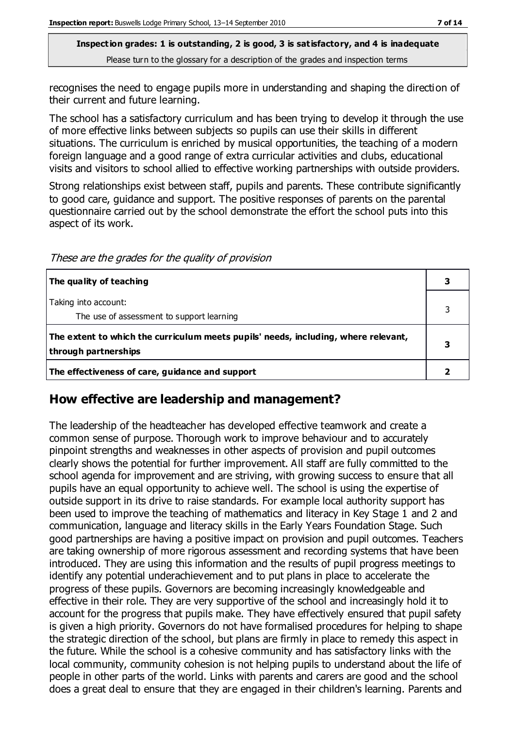recognises the need to engage pupils more in understanding and shaping the direction of their current and future learning.

The school has a satisfactory curriculum and has been trying to develop it through the use of more effective links between subjects so pupils can use their skills in different situations. The curriculum is enriched by musical opportunities, the teaching of a modern foreign language and a good range of extra curricular activities and clubs, educational visits and visitors to school allied to effective working partnerships with outside providers.

Strong relationships exist between staff, pupils and parents. These contribute significantly to good care, guidance and support. The positive responses of parents on the parental questionnaire carried out by the school demonstrate the effort the school puts into this aspect of its work.

These are the grades for the quality of provision

| The quality of teaching                                                                                    |  |
|------------------------------------------------------------------------------------------------------------|--|
| Taking into account:<br>The use of assessment to support learning                                          |  |
| The extent to which the curriculum meets pupils' needs, including, where relevant,<br>through partnerships |  |
| The effectiveness of care, guidance and support                                                            |  |

## **How effective are leadership and management?**

The leadership of the headteacher has developed effective teamwork and create a common sense of purpose. Thorough work to improve behaviour and to accurately pinpoint strengths and weaknesses in other aspects of provision and pupil outcomes clearly shows the potential for further improvement. All staff are fully committed to the school agenda for improvement and are striving, with growing success to ensure that all pupils have an equal opportunity to achieve well. The school is using the expertise of outside support in its drive to raise standards. For example local authority support has been used to improve the teaching of mathematics and literacy in Key Stage 1 and 2 and communication, language and literacy skills in the Early Years Foundation Stage. Such good partnerships are having a positive impact on provision and pupil outcomes. Teachers are taking ownership of more rigorous assessment and recording systems that have been introduced. They are using this information and the results of pupil progress meetings to identify any potential underachievement and to put plans in place to accelerate the progress of these pupils. Governors are becoming increasingly knowledgeable and effective in their role. They are very supportive of the school and increasingly hold it to account for the progress that pupils make. They have effectively ensured that pupil safety is given a high priority. Governors do not have formalised procedures for helping to shape the strategic direction of the school, but plans are firmly in place to remedy this aspect in the future. While the school is a cohesive community and has satisfactory links with the local community, community cohesion is not helping pupils to understand about the life of people in other parts of the world. Links with parents and carers are good and the school does a great deal to ensure that they are engaged in their children's learning. Parents and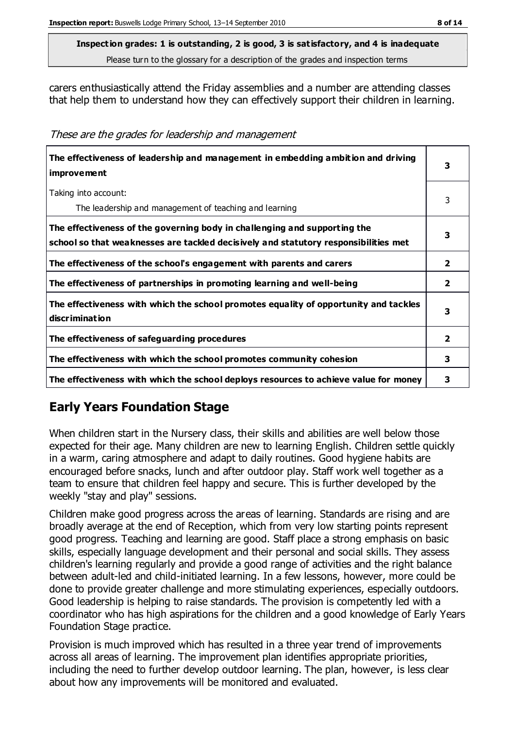**Inspection grades: 1 is outstanding, 2 is good, 3 is satisfactory, and 4 is inadequate**

Please turn to the glossary for a description of the grades and inspection terms

carers enthusiastically attend the Friday assemblies and a number are attending classes that help them to understand how they can effectively support their children in learning.

| These are the grades for leadership and management |  |  |
|----------------------------------------------------|--|--|
|----------------------------------------------------|--|--|

| The effectiveness of leadership and management in embedding ambition and driving<br><i>improvement</i>                                                           |                         |
|------------------------------------------------------------------------------------------------------------------------------------------------------------------|-------------------------|
| Taking into account:<br>The leadership and management of teaching and learning                                                                                   | 3                       |
| The effectiveness of the governing body in challenging and supporting the<br>school so that weaknesses are tackled decisively and statutory responsibilities met | 3                       |
| The effectiveness of the school's engagement with parents and carers                                                                                             | $\overline{2}$          |
| The effectiveness of partnerships in promoting learning and well-being                                                                                           | $\overline{2}$          |
| The effectiveness with which the school promotes equality of opportunity and tackles<br>discrimination                                                           | 3                       |
| The effectiveness of safeguarding procedures                                                                                                                     | $\overline{\mathbf{2}}$ |
| The effectiveness with which the school promotes community cohesion                                                                                              | 3                       |
| The effectiveness with which the school deploys resources to achieve value for money                                                                             | з                       |

# **Early Years Foundation Stage**

When children start in the Nursery class, their skills and abilities are well below those expected for their age. Many children are new to learning English. Children settle quickly in a warm, caring atmosphere and adapt to daily routines. Good hygiene habits are encouraged before snacks, lunch and after outdoor play. Staff work well together as a team to ensure that children feel happy and secure. This is further developed by the weekly "stay and play" sessions.

Children make good progress across the areas of learning. Standards are rising and are broadly average at the end of Reception, which from very low starting points represent good progress. Teaching and learning are good. Staff place a strong emphasis on basic skills, especially language development and their personal and social skills. They assess children's learning regularly and provide a good range of activities and the right balance between adult-led and child-initiated learning. In a few lessons, however, more could be done to provide greater challenge and more stimulating experiences, especially outdoors. Good leadership is helping to raise standards. The provision is competently led with a coordinator who has high aspirations for the children and a good knowledge of Early Years Foundation Stage practice.

Provision is much improved which has resulted in a three year trend of improvements across all areas of learning. The improvement plan identifies appropriate priorities, including the need to further develop outdoor learning. The plan, however, is less clear about how any improvements will be monitored and evaluated.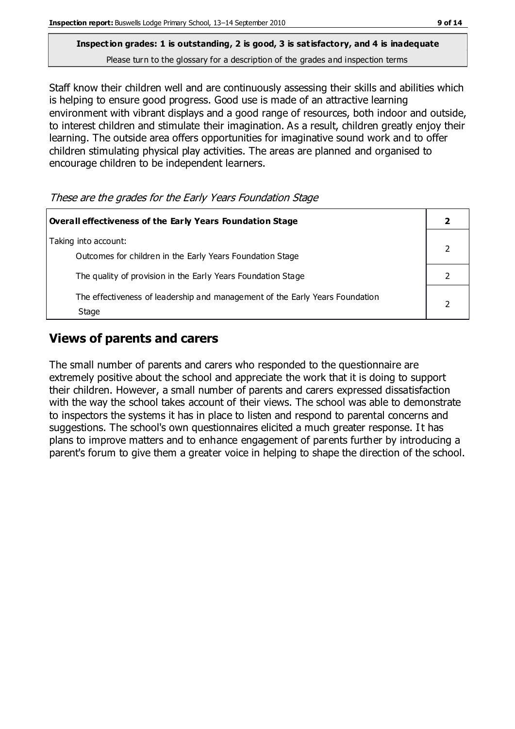Staff know their children well and are continuously assessing their skills and abilities which is helping to ensure good progress. Good use is made of an attractive learning environment with vibrant displays and a good range of resources, both indoor and outside, to interest children and stimulate their imagination. As a result, children greatly enjoy their learning. The outside area offers opportunities for imaginative sound work and to offer children stimulating physical play activities. The areas are planned and organised to encourage children to be independent learners.

#### These are the grades for the Early Years Foundation Stage

| Overall effectiveness of the Early Years Foundation Stage                             |  |
|---------------------------------------------------------------------------------------|--|
| Taking into account:<br>Outcomes for children in the Early Years Foundation Stage     |  |
| The quality of provision in the Early Years Foundation Stage                          |  |
| The effectiveness of leadership and management of the Early Years Foundation<br>Stage |  |

# **Views of parents and carers**

The small number of parents and carers who responded to the questionnaire are extremely positive about the school and appreciate the work that it is doing to support their children. However, a small number of parents and carers expressed dissatisfaction with the way the school takes account of their views. The school was able to demonstrate to inspectors the systems it has in place to listen and respond to parental concerns and suggestions. The school's own questionnaires elicited a much greater response. It has plans to improve matters and to enhance engagement of parents further by introducing a parent's forum to give them a greater voice in helping to shape the direction of the school.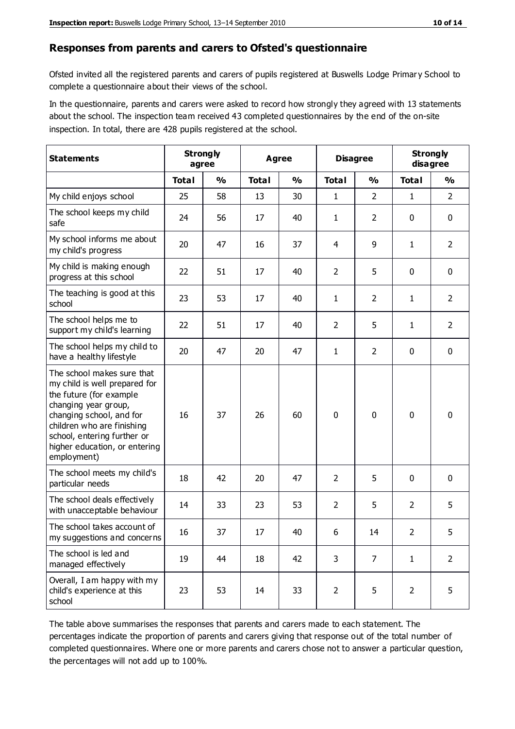#### **Responses from parents and carers to Ofsted's questionnaire**

Ofsted invited all the registered parents and carers of pupils registered at Buswells Lodge Primary School to complete a questionnaire about their views of the school.

In the questionnaire, parents and carers were asked to record how strongly they agreed with 13 statements about the school. The inspection team received 43 completed questionnaires by the end of the on-site inspection. In total, there are 428 pupils registered at the school.

| <b>Statements</b>                                                                                                                                                                                                                                       | <b>Strongly</b><br>agree |               | <b>Agree</b> |               | <b>Disagree</b> |                | <b>Strongly</b><br>disagree |                |
|---------------------------------------------------------------------------------------------------------------------------------------------------------------------------------------------------------------------------------------------------------|--------------------------|---------------|--------------|---------------|-----------------|----------------|-----------------------------|----------------|
|                                                                                                                                                                                                                                                         | <b>Total</b>             | $\frac{1}{2}$ | <b>Total</b> | $\frac{0}{0}$ | <b>Total</b>    | $\frac{0}{0}$  | <b>Total</b>                | $\frac{1}{2}$  |
| My child enjoys school                                                                                                                                                                                                                                  | 25                       | 58            | 13           | 30            | 1               | $\overline{2}$ | $\mathbf{1}$                | $\overline{2}$ |
| The school keeps my child<br>safe                                                                                                                                                                                                                       | 24                       | 56            | 17           | 40            | 1               | $\overline{2}$ | $\mathbf 0$                 | $\mathbf 0$    |
| My school informs me about<br>my child's progress                                                                                                                                                                                                       | 20                       | 47            | 16           | 37            | 4               | 9              | $\mathbf{1}$                | $\overline{2}$ |
| My child is making enough<br>progress at this school                                                                                                                                                                                                    | 22                       | 51            | 17           | 40            | $\overline{2}$  | 5              | $\mathbf 0$                 | $\mathbf 0$    |
| The teaching is good at this<br>school                                                                                                                                                                                                                  | 23                       | 53            | 17           | 40            | 1               | $\overline{2}$ | 1                           | $\overline{2}$ |
| The school helps me to<br>support my child's learning                                                                                                                                                                                                   | 22                       | 51            | 17           | 40            | $\overline{2}$  | 5              | 1                           | $\overline{2}$ |
| The school helps my child to<br>have a healthy lifestyle                                                                                                                                                                                                | 20                       | 47            | 20           | 47            | $\mathbf{1}$    | $\overline{2}$ | $\mathbf 0$                 | $\mathbf 0$    |
| The school makes sure that<br>my child is well prepared for<br>the future (for example<br>changing year group,<br>changing school, and for<br>children who are finishing<br>school, entering further or<br>higher education, or entering<br>employment) | 16                       | 37            | 26           | 60            | 0               | 0              | $\mathbf 0$                 | $\mathbf 0$    |
| The school meets my child's<br>particular needs                                                                                                                                                                                                         | 18                       | 42            | 20           | 47            | $\overline{2}$  | 5              | $\mathbf 0$                 | $\mathbf 0$    |
| The school deals effectively<br>with unacceptable behaviour                                                                                                                                                                                             | 14                       | 33            | 23           | 53            | $\overline{2}$  | 5              | $\overline{2}$              | 5              |
| The school takes account of<br>my suggestions and concerns                                                                                                                                                                                              | 16                       | 37            | 17           | 40            | 6               | 14             | $\overline{2}$              | 5              |
| The school is led and<br>managed effectively                                                                                                                                                                                                            | 19                       | 44            | 18           | 42            | 3               | $\overline{7}$ | $\mathbf{1}$                | $\overline{2}$ |
| Overall, I am happy with my<br>child's experience at this<br>school                                                                                                                                                                                     | 23                       | 53            | 14           | 33            | $\overline{2}$  | 5              | $\overline{2}$              | 5              |

The table above summarises the responses that parents and carers made to each statement. The percentages indicate the proportion of parents and carers giving that response out of the total number of completed questionnaires. Where one or more parents and carers chose not to answer a particular question, the percentages will not add up to 100%.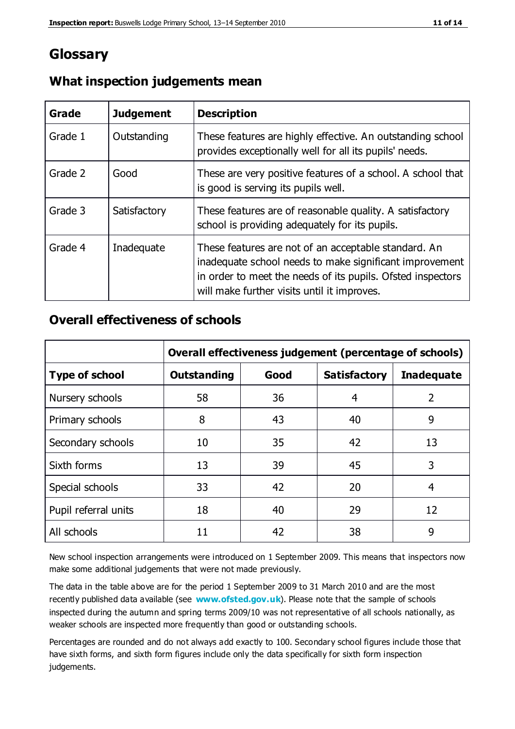# **Glossary**

| Grade   | <b>Judgement</b> | <b>Description</b>                                                                                                                                                                                                            |
|---------|------------------|-------------------------------------------------------------------------------------------------------------------------------------------------------------------------------------------------------------------------------|
| Grade 1 | Outstanding      | These features are highly effective. An outstanding school<br>provides exceptionally well for all its pupils' needs.                                                                                                          |
| Grade 2 | Good             | These are very positive features of a school. A school that<br>is good is serving its pupils well.                                                                                                                            |
| Grade 3 | Satisfactory     | These features are of reasonable quality. A satisfactory<br>school is providing adequately for its pupils.                                                                                                                    |
| Grade 4 | Inadequate       | These features are not of an acceptable standard. An<br>inadequate school needs to make significant improvement<br>in order to meet the needs of its pupils. Ofsted inspectors<br>will make further visits until it improves. |

# **What inspection judgements mean**

# **Overall effectiveness of schools**

|                       | Overall effectiveness judgement (percentage of schools) |      |                     |                   |
|-----------------------|---------------------------------------------------------|------|---------------------|-------------------|
| <b>Type of school</b> | <b>Outstanding</b>                                      | Good | <b>Satisfactory</b> | <b>Inadequate</b> |
| Nursery schools       | 58                                                      | 36   | 4                   | $\overline{2}$    |
| Primary schools       | 8                                                       | 43   | 40                  | 9                 |
| Secondary schools     | 10                                                      | 35   | 42                  | 13                |
| Sixth forms           | 13                                                      | 39   | 45                  | 3                 |
| Special schools       | 33                                                      | 42   | 20                  | 4                 |
| Pupil referral units  | 18                                                      | 40   | 29                  | 12                |
| All schools           | 11                                                      | 42   | 38                  | 9                 |

New school inspection arrangements were introduced on 1 September 2009. This means that inspectors now make some additional judgements that were not made previously.

The data in the table above are for the period 1 September 2009 to 31 March 2010 and are the most recently published data available (see **[www.ofsted.gov.uk](http://www.ofsted.gov.uk/)**). Please note that the sample of schools inspected during the autumn and spring terms 2009/10 was not representative of all schools nationally, as weaker schools are inspected more frequently than good or outstanding schools.

Percentages are rounded and do not always add exactly to 100. Secondary school figures include those that have sixth forms, and sixth form figures include only the data specifically for sixth form inspection judgements.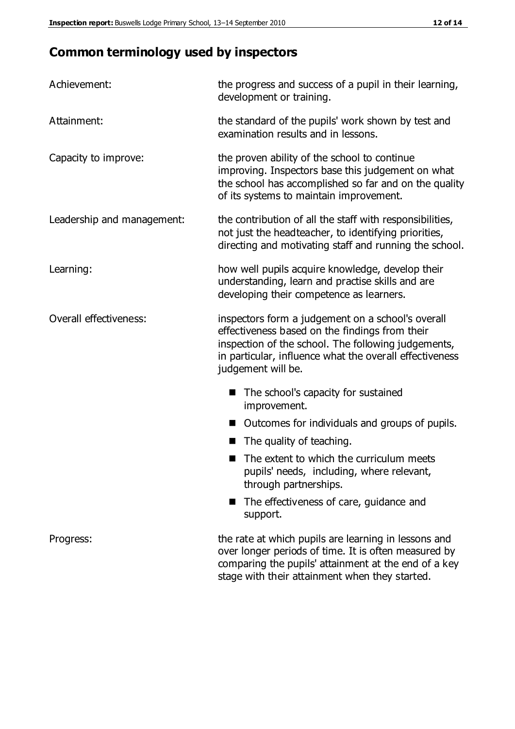# **Common terminology used by inspectors**

| Achievement:               | the progress and success of a pupil in their learning,<br>development or training.                                                                                                                                                          |
|----------------------------|---------------------------------------------------------------------------------------------------------------------------------------------------------------------------------------------------------------------------------------------|
| Attainment:                | the standard of the pupils' work shown by test and<br>examination results and in lessons.                                                                                                                                                   |
| Capacity to improve:       | the proven ability of the school to continue<br>improving. Inspectors base this judgement on what<br>the school has accomplished so far and on the quality<br>of its systems to maintain improvement.                                       |
| Leadership and management: | the contribution of all the staff with responsibilities,<br>not just the headteacher, to identifying priorities,<br>directing and motivating staff and running the school.                                                                  |
| Learning:                  | how well pupils acquire knowledge, develop their<br>understanding, learn and practise skills and are<br>developing their competence as learners.                                                                                            |
| Overall effectiveness:     | inspectors form a judgement on a school's overall<br>effectiveness based on the findings from their<br>inspection of the school. The following judgements,<br>in particular, influence what the overall effectiveness<br>judgement will be. |
|                            | The school's capacity for sustained<br>improvement.                                                                                                                                                                                         |
|                            | Outcomes for individuals and groups of pupils.                                                                                                                                                                                              |
|                            | The quality of teaching.                                                                                                                                                                                                                    |
|                            | The extent to which the curriculum meets<br>pupils' needs, including, where relevant,<br>through partnerships.                                                                                                                              |
|                            | The effectiveness of care, guidance and<br>support.                                                                                                                                                                                         |
| Progress:                  | the rate at which pupils are learning in lessons and<br>over longer periods of time. It is often measured by<br>comparing the pupils' attainment at the end of a key                                                                        |

stage with their attainment when they started.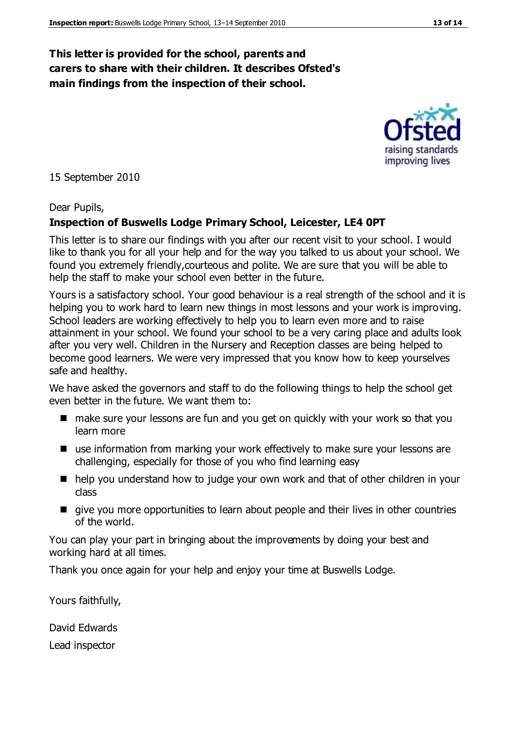# **This letter is provided for the school, parents and carers to share with their children. It describes Ofsted's main findings from the inspection of their school.**

15 September 2010

#### Dear Pupils,

#### **Inspection of Buswells Lodge Primary School, Leicester, LE4 0PT**

This letter is to share our findings with you after our recent visit to your school. I would like to thank you for all your help and for the way you talked to us about your school. We found you extremely friendly,courteous and polite. We are sure that you will be able to help the staff to make your school even better in the future.

Yours is a satisfactory school. Your good behaviour is a real strength of the school and it is helping you to work hard to learn new things in most lessons and your work is improving. School leaders are working effectively to help you to learn even more and to raise attainment in your school. We found your school to be a very caring place and adults look after you very well. Children in the Nursery and Reception classes are being helped to become good learners. We were very impressed that you know how to keep yourselves safe and healthy.

We have asked the governors and staff to do the following things to help the school get even better in the future. We want them to:

- make sure your lessons are fun and you get on quickly with your work so that you learn more
- use information from marking your work effectively to make sure your lessons are challenging, especially for those of you who find learning easy
- help you understand how to judge your own work and that of other children in your class
- give you more opportunities to learn about people and their lives in other countries of the world.

You can play your part in bringing about the improvements by doing your best and working hard at all times.

Thank you once again for your help and enjoy your time at Buswells Lodge.

Yours faithfully,

David Edwards

Lead inspector